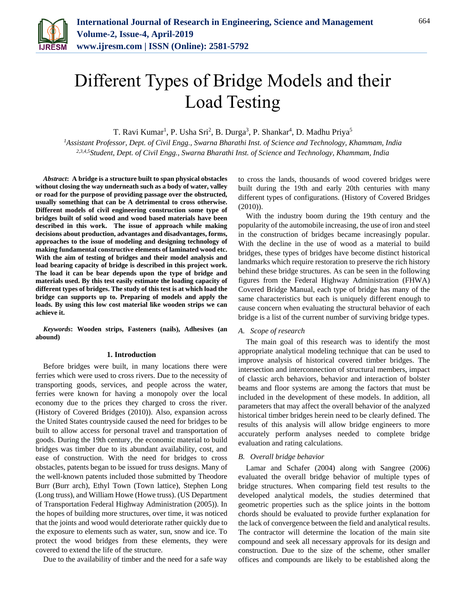

T. Ravi Kumar<sup>1</sup>, P. Usha Sri<sup>2</sup>, B. Durga<sup>3</sup>, P. Shankar<sup>4</sup>, D. Madhu Priya<sup>5</sup>

*<sup>1</sup>Assistant Professor, Dept. of Civil Engg., Swarna Bharathi Inst. of Science and Technology, Khammam, India 2,3,4,5Student, Dept. of Civil Engg., Swarna Bharathi Inst. of Science and Technology, Khammam, India*

*Abstract***: A bridge is a structure built to span physical obstacles without closing the way underneath such as a body of water, valley or road for the purpose of providing passage over the obstructed, usually something that can be A detrimental to cross otherwise. Different models of civil engineering construction some type of bridges built of solid wood and wood based materials have been described in this work. The issue of approach while making decisions about production, advantages and disadvantages, forms, approaches to the issue of modeling and designing technology of making fundamental constructive elements of laminated wood etc. With the aim of testing of bridges and their model analysis and load bearing capacity of bridge is described in this project work. The load it can be bear depends upon the type of bridge and materials used. By this test easily estimate the loading capacity of different types of bridges. The study of this test is at which load the bridge can supports up to. Preparing of models and apply the loads. By using this low cost material like wooden strips we can achieve it.**

*Keywords***: Wooden strips, Fasteners (nails), Adhesives (an abound)**

#### **1. Introduction**

Before bridges were built, in many locations there were ferries which were used to cross rivers. Due to the necessity of transporting goods, services, and people across the water, ferries were known for having a monopoly over the local economy due to the prices they charged to cross the river. (History of Covered Bridges (2010)). Also, expansion across the United States countryside caused the need for bridges to be built to allow access for personal travel and transportation of goods. During the 19th century, the economic material to build bridges was timber due to its abundant availability, cost, and ease of construction. With the need for bridges to cross obstacles, patents began to be issued for truss designs. Many of the well-known patents included those submitted by Theodore Burr (Burr arch), Ethyl Town (Town lattice), Stephen Long (Long truss), and William Howe (Howe truss). (US Department of Transportation Federal Highway Administration (2005)). In the hopes of building more structures, over time, it was noticed that the joints and wood would deteriorate rather quickly due to the exposure to elements such as water, sun, snow and ice. To protect the wood bridges from these elements, they were covered to extend the life of the structure.

Due to the availability of timber and the need for a safe way

to cross the lands, thousands of wood covered bridges were built during the 19th and early 20th centuries with many different types of configurations. (History of Covered Bridges (2010)).

With the industry boom during the 19th century and the popularity of the automobile increasing, the use of iron and steel in the construction of bridges became increasingly popular. With the decline in the use of wood as a material to build bridges, these types of bridges have become distinct historical landmarks which require restoration to preserve the rich history behind these bridge structures. As can be seen in the following figures from the Federal Highway Administration (FHWA) Covered Bridge Manual, each type of bridge has many of the same characteristics but each is uniquely different enough to cause concern when evaluating the structural behavior of each bridge is a list of the current number of surviving bridge types.

#### *A. Scope of research*

The main goal of this research was to identify the most appropriate analytical modeling technique that can be used to improve analysis of historical covered timber bridges. The intersection and interconnection of structural members, impact of classic arch behaviors, behavior and interaction of bolster beams and floor systems are among the factors that must be included in the development of these models. In addition, all parameters that may affect the overall behavior of the analyzed historical timber bridges herein need to be clearly defined. The results of this analysis will allow bridge engineers to more accurately perform analyses needed to complete bridge evaluation and rating calculations.

## *B. Overall bridge behavior*

Lamar and Schafer (2004) along with Sangree (2006) evaluated the overall bridge behavior of multiple types of bridge structures. When comparing field test results to the developed analytical models, the studies determined that geometric properties such as the splice joints in the bottom chords should be evaluated to provide further explanation for the lack of convergence between the field and analytical results. The contractor will determine the location of the main site compound and seek all necessary approvals for its design and construction. Due to the size of the scheme, other smaller offices and compounds are likely to be established along the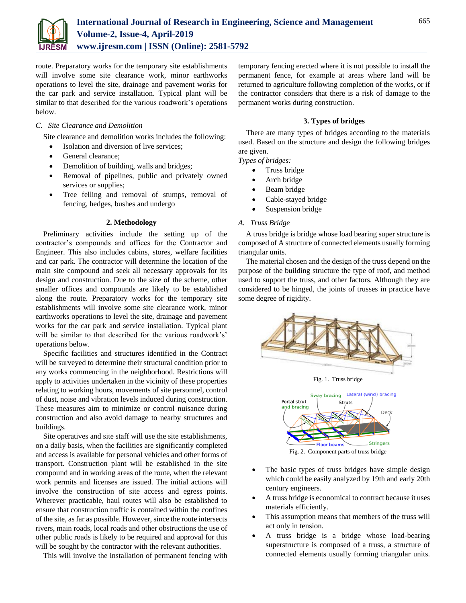

route. Preparatory works for the temporary site establishments will involve some site clearance work, minor earthworks operations to level the site, drainage and pavement works for the car park and service installation. Typical plant will be similar to that described for the various roadwork's operations below.

### *C. Site Clearance and Demolition*

Site clearance and demolition works includes the following:

- Isolation and diversion of live services;
- General clearance:
- Demolition of building, walls and bridges;
- Removal of pipelines, public and privately owned services or supplies;
- Tree felling and removal of stumps, removal of fencing, hedges, bushes and undergo

#### **2. Methodology**

Preliminary activities include the setting up of the contractor's compounds and offices for the Contractor and Engineer. This also includes cabins, stores, welfare facilities and car park. The contractor will determine the location of the main site compound and seek all necessary approvals for its design and construction. Due to the size of the scheme, other smaller offices and compounds are likely to be established along the route. Preparatory works for the temporary site establishments will involve some site clearance work, minor earthworks operations to level the site, drainage and pavement works for the car park and service installation. Typical plant will be similar to that described for the various roadwork's' operations below.

Specific facilities and structures identified in the Contract will be surveyed to determine their structural condition prior to any works commencing in the neighborhood. Restrictions will apply to activities undertaken in the vicinity of these properties relating to working hours, movements of site personnel, control of dust, noise and vibration levels induced during construction. These measures aim to minimize or control nuisance during construction and also avoid damage to nearby structures and buildings.

Site operatives and site staff will use the site establishments, on a daily basis, when the facilities are significantly completed and access is available for personal vehicles and other forms of transport. Construction plant will be established in the site compound and in working areas of the route, when the relevant work permits and licenses are issued. The initial actions will involve the construction of site access and egress points. Wherever practicable, haul routes will also be established to ensure that construction traffic is contained within the confines of the site, as far as possible. However, since the route intersects rivers, main roads, local roads and other obstructions the use of other public roads is likely to be required and approval for this will be sought by the contractor with the relevant authorities.

This will involve the installation of permanent fencing with

temporary fencing erected where it is not possible to install the permanent fence, for example at areas where land will be returned to agriculture following completion of the works, or if the contractor considers that there is a risk of damage to the permanent works during construction.

### **3. Types of bridges**

There are many types of bridges according to the materials used. Based on the structure and design the following bridges are given.

#### *Types of bridges:*

- Truss bridge
- Arch bridge
- Beam bridge
- Cable-stayed bridge
- Suspension bridge

#### *A. Truss Bridge*

A truss bridge is bridge whose load bearing super structure is composed of A structure of connected elements usually forming triangular units.

The material chosen and the design of the truss depend on the purpose of the building structure the type of roof, and method used to support the truss, and other factors. Although they are considered to be hinged, the joints of trusses in practice have some degree of rigidity.



Fig. 1. Truss bridge



Fig. 2. Component parts of truss bridge

- The basic types of truss bridges have simple design which could be easily analyzed by 19th and early 20th century engineers.
- A truss bridge is economical to contract because it uses materials efficiently.
- This assumption means that members of the truss will act only in tension.
- A truss bridge is a bridge whose load-bearing superstructure is composed of a truss, a structure of connected elements usually forming triangular units.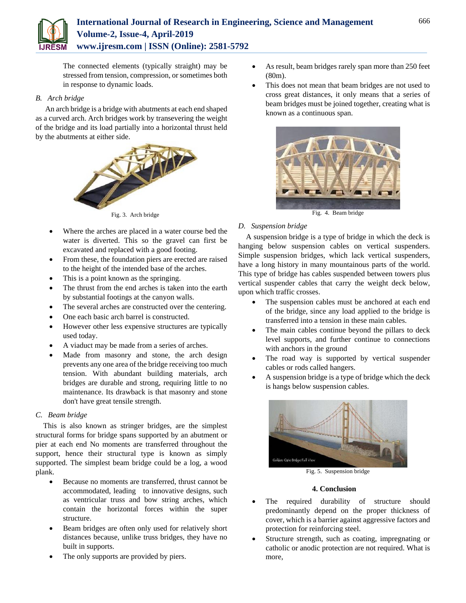

The connected elements (typically straight) may be stressed from tension, compression, or sometimes both in response to dynamic loads.

## *B. Arch bridge*

An arch bridge is a bridge with abutments at each end shaped as a curved arch. Arch bridges work by transevering the weight of the bridge and its load partially into a horizontal thrust held by the abutments at either side.



Fig. 3. Arch bridge

- Where the arches are placed in a water course bed the water is diverted. This so the gravel can first be excavated and replaced with a good footing.
- From these, the foundation piers are erected are raised to the height of the intended base of the arches.
- This is a point known as the springing.
- The thrust from the end arches is taken into the earth by substantial footings at the canyon walls.
- The several arches are constructed over the centering.
- One each basic arch barrel is constructed.
- However other less expensive structures are typically used today.
- A viaduct may be made from a series of arches.
- Made from masonry and stone, the arch design prevents any one area of the bridge receiving too much tension. With abundant building materials, arch bridges are durable and strong, requiring little to no maintenance. Its drawback is that masonry and stone don't have great tensile strength.

# *C. Beam bridge*

This is also known as stringer bridges, are the simplest structural forms for bridge spans supported by an abutment or pier at each end No moments are transferred throughout the support, hence their structural type is known as simply supported. The simplest beam bridge could be a log, a wood plank.

- Because no moments are transferred, thrust cannot be accommodated, leading to innovative designs, such as ventricular truss and bow string arches, which contain the horizontal forces within the super structure.
- Beam bridges are often only used for relatively short distances because, unlike truss bridges, they have no built in supports.
- The only supports are provided by piers.
- As result, beam bridges rarely span more than 250 feet (80m).
- This does not mean that beam bridges are not used to cross great distances, it only means that a series of beam bridges must be joined together, creating what is known as a continuous span.



Fig. 4. Beam bridge

# *D. Suspension bridge*

A suspension bridge is a type of bridge in which the deck is hanging below suspension cables on vertical suspenders. Simple suspension bridges, which lack vertical suspenders, have a long history in many mountainous parts of the world. This type of bridge has cables suspended between towers plus vertical suspender cables that carry the weight deck below, upon which traffic crosses.

- The suspension cables must be anchored at each end of the bridge, since any load applied to the bridge is transferred into a tension in these main cables.
- The main cables continue beyond the pillars to deck level supports, and further continue to connections with anchors in the ground
- The road way is supported by vertical suspender cables or rods called hangers.
- A suspension bridge is a type of bridge which the deck is hangs below suspension cables.



Fig. 5. Suspension bridge

## **4. Conclusion**

- The required durability of structure should predominantly depend on the proper thickness of cover, which is a barrier against aggressive factors and protection for reinforcing steel.
- Structure strength, such as coating, impregnating or catholic or anodic protection are not required. What is more,